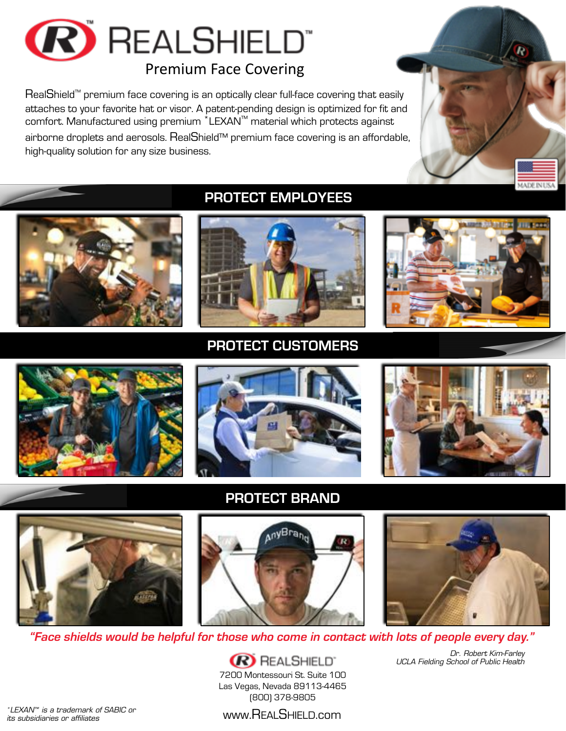

RealShield<sup>™</sup> premium face covering is an optically clear full-face covering that easily

attaches to your favorite hat or visor. A patent-pending design is optimized for fit and comfort. Manufactured using premium \*LEXAN™ material which protects against airborne droplets and aerosols. RealShield™ premium face covering is an affordable, high-quality solution for any size business.



## PROTECT EMPLOYEES



PROTECT CUSTOMERS











PROTECT BRAND





*UCLA Fielding School of Public Health*

*Dr. Robert Kim-Farley*

*"Face shields would be helpful for those who come in contact with lots of people every day."*

**R** REALSHIELD' 7200 Montessouri St. Suite 100 Las Vegas, Nevada 89113-4465 (800) 378-9805

www.REALSHIELD.com